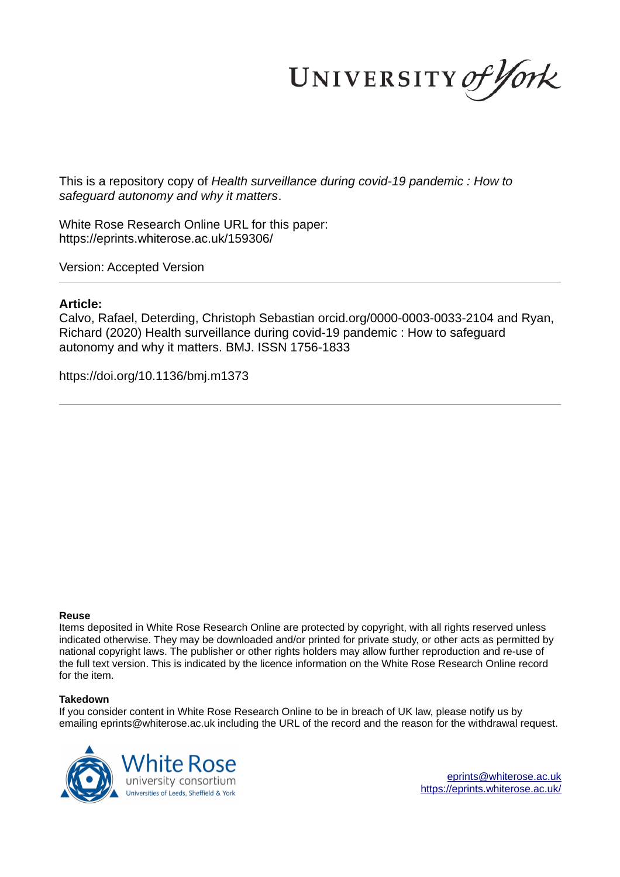UNIVERSITY of York

This is a repository copy of *Health surveillance during covid-19 pandemic : How to safeguard autonomy and why it matters*.

White Rose Research Online URL for this paper: https://eprints.whiterose.ac.uk/159306/

Version: Accepted Version

## **Article:**

Calvo, Rafael, Deterding, Christoph Sebastian orcid.org/0000-0003-0033-2104 and Ryan, Richard (2020) Health surveillance during covid-19 pandemic : How to safeguard autonomy and why it matters. BMJ. ISSN 1756-1833

https://doi.org/10.1136/bmj.m1373

#### **Reuse**

Items deposited in White Rose Research Online are protected by copyright, with all rights reserved unless indicated otherwise. They may be downloaded and/or printed for private study, or other acts as permitted by national copyright laws. The publisher or other rights holders may allow further reproduction and re-use of the full text version. This is indicated by the licence information on the White Rose Research Online record for the item.

### **Takedown**

If you consider content in White Rose Research Online to be in breach of UK law, please notify us by emailing eprints@whiterose.ac.uk including the URL of the record and the reason for the withdrawal request.



eprints@whiterose.ac.uk https://eprints.whiterose.ac.uk/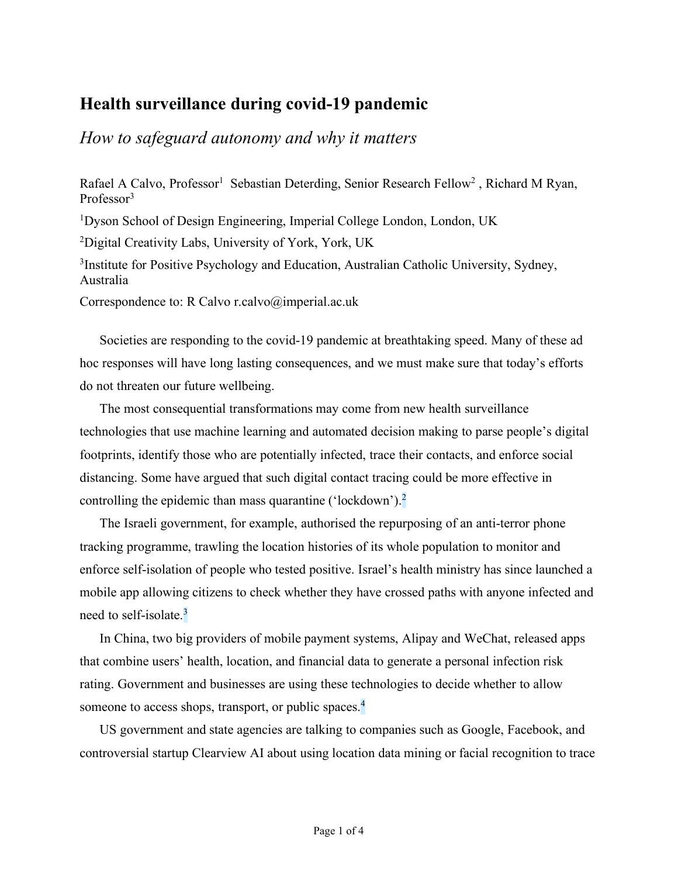# **Health surveillance during covid-19 pandemic**

*How to safeguard autonomy and why it matters*

Rafael A Calvo, Professor<sup>1</sup> Sebastian Deterding, Senior Research Fellow<sup>2</sup>, Richard M Ryan, Professor<sup>3</sup>

<sup>1</sup>Dyson School of Design Engineering, Imperial College London, London, UK

<sup>2</sup>Digital Creativity Labs, University of York, York, UK

<sup>3</sup>Institute for Positive Psychology and Education, Australian Catholic University, Sydney, Australia

Correspondence to: R Calvo r.calvo@imperial.ac.uk

Societies are responding to the covid-19 pandemic at breathtaking speed. Many of these ad hoc responses will have long lasting consequences, and we must make sure that today's efforts do not threaten our future wellbeing.

The most consequential transformations may come from new health surveillance technologies that use machine learning and automated decision making to parse people's digital footprints, identify those who are potentially infected, trace their contacts, and enforce social distancing. Some have argued that such digital contact tracing could be more effective in controlling the epidemic than mass quarantine ('lockdown').<sup>2</sup>

The Israeli government, for example, authorised the repurposing of an anti-terror phone tracking programme, trawling the location histories of its whole population to monitor and enforce self-isolation of people who tested positive. Israel's health ministry has since launched a mobile app allowing citizens to check whether they have crossed paths with anyone infected and need to self-isolate.<sup>3</sup>

In China, two big providers of mobile payment systems, Alipay and WeChat, released apps that combine users' health, location, and financial data to generate a personal infection risk rating. Government and businesses are using these technologies to decide whether to allow someone to access shops, transport, or public spaces.<sup>4</sup>

US government and state agencies are talking to companies such as Google, Facebook, and controversial startup Clearview AI about using location data mining or facial recognition to trace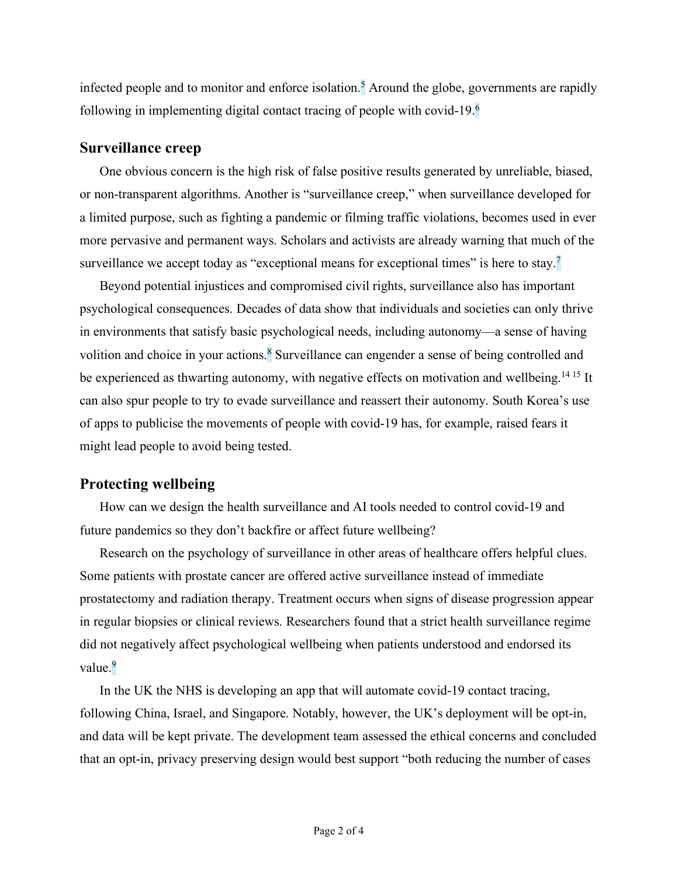infected people and to monitor and enforce isolation.<sup>5</sup> Around the globe, governments are rapidly following in implementing digital contact tracing of people with covid-19.<sup>6</sup>

## **Surveillance creep**

One obvious concern is the high risk of false positive results generated by unreliable, biased, or non-transparent algorithms. Another is "surveillance creep," when surveillance developed for a limited purpose, such as fighting a pandemic or filming traffic violations, becomes used in ever more pervasive and permanent ways. Scholars and activists are already warning that much of the surveillance we accept today as "exceptional means for exceptional times" is here to stay.<sup>7</sup>

Beyond potential injustices and compromised civil rights, surveillance also has important psychological consequences. Decades of data show that individuals and societies can only thrive in environments that satisfy basic psychological needs, including autonomy—a sense of having volition and choice in your actions.<sup>8</sup> Surveillance can engender a sense of being controlled and be experienced as thwarting autonomy, with negative effects on motivation and wellbeing.<sup>14 15</sup> It can also spur people to try to evade surveillance and reassert their autonomy. South Korea's use of apps to publicise the movements of people with covid-19 has, for example, raised fears it might lead people to avoid being tested.

## **Protecting wellbeing**

How can we design the health surveillance and AI tools needed to control covid-19 and future pandemics so they don't backfire or affect future wellbeing?

Research on the psychology of surveillance in other areas of healthcare offers helpful clues. Some patients with prostate cancer are offered active surveillance instead of immediate prostatectomy and radiation therapy. Treatment occurs when signs of disease progression appear in regular biopsies or clinical reviews. Researchers found that a strict health surveillance regime did not negatively affect psychological wellbeing when patients understood and endorsed its value.<sup>9</sup>

In the UK the NHS is developing an app that will automate covid-19 contact tracing, following China, Israel, and Singapore. Notably, however, the UK's deployment will be opt-in, and data will be kept private. The development team assessed the ethical concerns and concluded that an opt-in, privacy preserving design would best support "both reducing the number of cases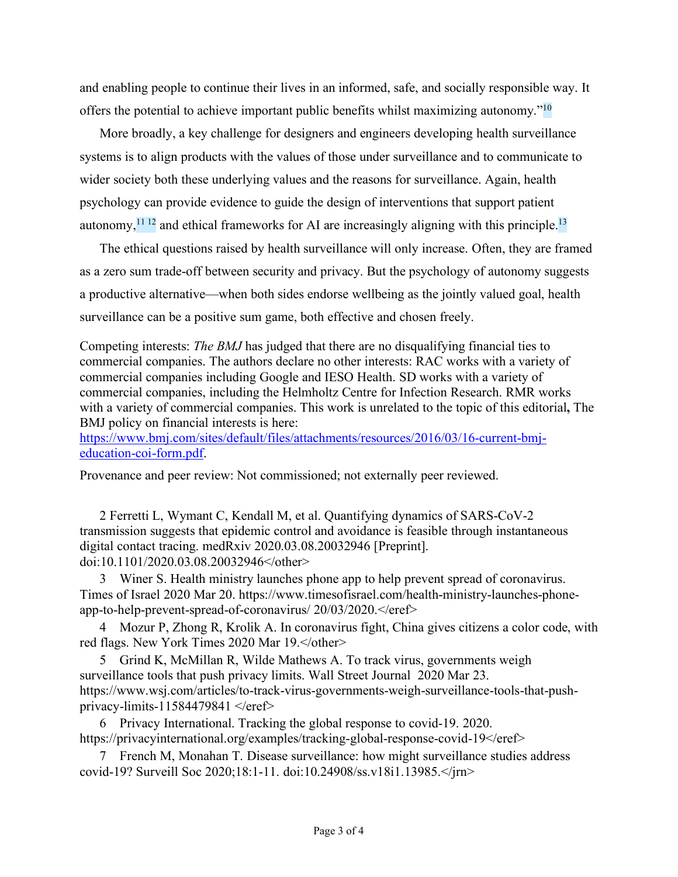and enabling people to continue their lives in an informed, safe, and socially responsible way. It offers the potential to achieve important public benefits whilst maximizing autonomy."<sup>10</sup>

More broadly, a key challenge for designers and engineers developing health surveillance systems is to align products with the values of those under surveillance and to communicate to wider society both these underlying values and the reasons for surveillance. Again, health psychology can provide evidence to guide the design of interventions that support patient autonomy, $^{11}$  12 and ethical frameworks for AI are increasingly aligning with this principle.<sup>13</sup>

The ethical questions raised by health surveillance will only increase. Often, they are framed as a zero sum trade-off between security and privacy. But the psychology of autonomy suggests a productive alternative—when both sides endorse wellbeing as the jointly valued goal, health surveillance can be a positive sum game, both effective and chosen freely.

Competing interests: *The BMJ* has judged that there are no disqualifying financial ties to commercial companies. The authors declare no other interests: RAC works with a variety of commercial companies including Google and IESO Health. SD works with a variety of commercial companies, including the Helmholtz Centre for Infection Research. RMR works with a variety of commercial companies. This work is unrelated to the topic of this editorial**,** The BMJ policy on financial interests is here:

https://www.bmj.com/sites/default/files/attachments/resources/2016/03/16-current-bmjeducation-coi-form.pdf.

Provenance and peer review: Not commissioned; not externally peer reviewed.

2 Ferretti L, Wymant C, Kendall M, et al. Quantifying dynamics of SARS-CoV-2 transmission suggests that epidemic control and avoidance is feasible through instantaneous digital contact tracing. medRxiv 2020.03.08.20032946 [Preprint]. doi:10.1101/2020.03.08.20032946</other>

3 Winer S. Health ministry launches phone app to help prevent spread of coronavirus. Times of Israel 2020 Mar 20. https://www.timesofisrael.com/health-ministry-launches-phoneapp-to-help-prevent-spread-of-coronavirus/20/03/2020. </eref>

4 Mozur P, Zhong R, Krolik A. In coronavirus fight, China gives citizens a color code, with red flags. New York Times 2020 Mar 19.  $\lt$ /other>

5 Grind K, McMillan R, Wilde Mathews A. To track virus, governments weigh surveillance tools that push privacy limits. Wall Street Journal 2020 Mar 23. https://www.wsj.com/articles/to-track-virus-governments-weigh-surveillance-tools-that-pushprivacy-limits-11584479841  $\le$ /eref>

6 Privacy International. Tracking the global response to covid-19. 2020. https://privacyinternational.org/examples/tracking-global-response-covid-19</eref>

7 French M, Monahan T. Disease surveillance: how might surveillance studies address covid-19? Surveill Soc 2020;18:1-11. doi:10.24908/ss.v18i1.13985.</jrn>